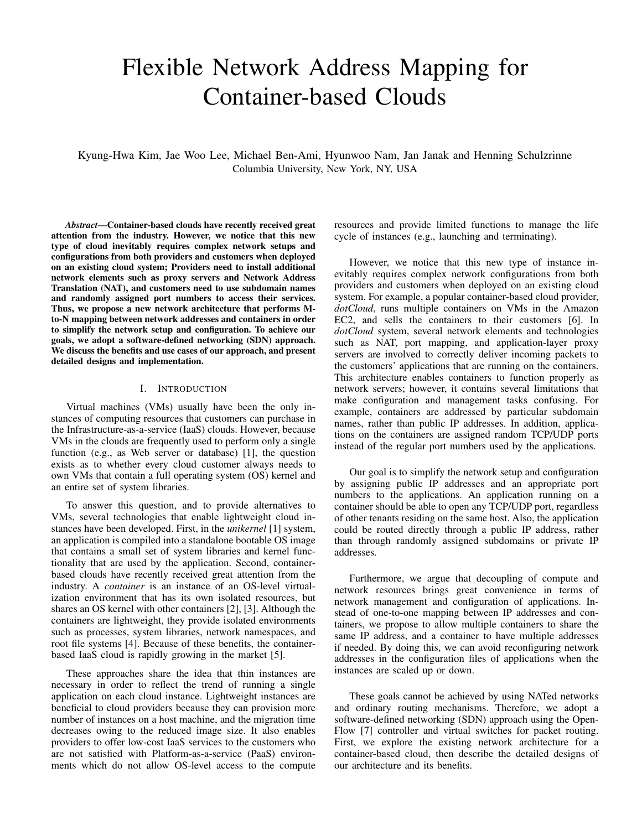# Flexible Network Address Mapping for Container-based Clouds

Kyung-Hwa Kim, Jae Woo Lee, Michael Ben-Ami, Hyunwoo Nam, Jan Janak and Henning Schulzrinne Columbia University, New York, NY, USA

*Abstract*—Container-based clouds have recently received great attention from the industry. However, we notice that this new type of cloud inevitably requires complex network setups and configurations from both providers and customers when deployed on an existing cloud system; Providers need to install additional network elements such as proxy servers and Network Address Translation (NAT), and customers need to use subdomain names and randomly assigned port numbers to access their services. Thus, we propose a new network architecture that performs Mto-N mapping between network addresses and containers in order to simplify the network setup and configuration. To achieve our goals, we adopt a software-defined networking (SDN) approach. We discuss the benefits and use cases of our approach, and present detailed designs and implementation.

# I. INTRODUCTION

Virtual machines (VMs) usually have been the only instances of computing resources that customers can purchase in the Infrastructure-as-a-service (IaaS) clouds. However, because VMs in the clouds are frequently used to perform only a single function (e.g., as Web server or database) [1], the question exists as to whether every cloud customer always needs to own VMs that contain a full operating system (OS) kernel and an entire set of system libraries.

To answer this question, and to provide alternatives to VMs, several technologies that enable lightweight cloud instances have been developed. First, in the *unikernel* [1] system, an application is compiled into a standalone bootable OS image that contains a small set of system libraries and kernel functionality that are used by the application. Second, containerbased clouds have recently received great attention from the industry. A *container* is an instance of an OS-level virtualization environment that has its own isolated resources, but shares an OS kernel with other containers [2], [3]. Although the containers are lightweight, they provide isolated environments such as processes, system libraries, network namespaces, and root file systems [4]. Because of these benefits, the containerbased IaaS cloud is rapidly growing in the market [5].

These approaches share the idea that thin instances are necessary in order to reflect the trend of running a single application on each cloud instance. Lightweight instances are beneficial to cloud providers because they can provision more number of instances on a host machine, and the migration time decreases owing to the reduced image size. It also enables providers to offer low-cost IaaS services to the customers who are not satisfied with Platform-as-a-service (PaaS) environments which do not allow OS-level access to the compute resources and provide limited functions to manage the life cycle of instances (e.g., launching and terminating).

However, we notice that this new type of instance inevitably requires complex network configurations from both providers and customers when deployed on an existing cloud system. For example, a popular container-based cloud provider, *dotCloud*, runs multiple containers on VMs in the Amazon EC2, and sells the containers to their customers [6]. In *dotCloud* system, several network elements and technologies such as NAT, port mapping, and application-layer proxy servers are involved to correctly deliver incoming packets to the customers' applications that are running on the containers. This architecture enables containers to function properly as network servers; however, it contains several limitations that make configuration and management tasks confusing. For example, containers are addressed by particular subdomain names, rather than public IP addresses. In addition, applications on the containers are assigned random TCP/UDP ports instead of the regular port numbers used by the applications.

Our goal is to simplify the network setup and configuration by assigning public IP addresses and an appropriate port numbers to the applications. An application running on a container should be able to open any TCP/UDP port, regardless of other tenants residing on the same host. Also, the application could be routed directly through a public IP address, rather than through randomly assigned subdomains or private IP addresses.

Furthermore, we argue that decoupling of compute and network resources brings great convenience in terms of network management and configuration of applications. Instead of one-to-one mapping between IP addresses and containers, we propose to allow multiple containers to share the same IP address, and a container to have multiple addresses if needed. By doing this, we can avoid reconfiguring network addresses in the configuration files of applications when the instances are scaled up or down.

These goals cannot be achieved by using NATed networks and ordinary routing mechanisms. Therefore, we adopt a software-defined networking (SDN) approach using the Open-Flow [7] controller and virtual switches for packet routing. First, we explore the existing network architecture for a container-based cloud, then describe the detailed designs of our architecture and its benefits.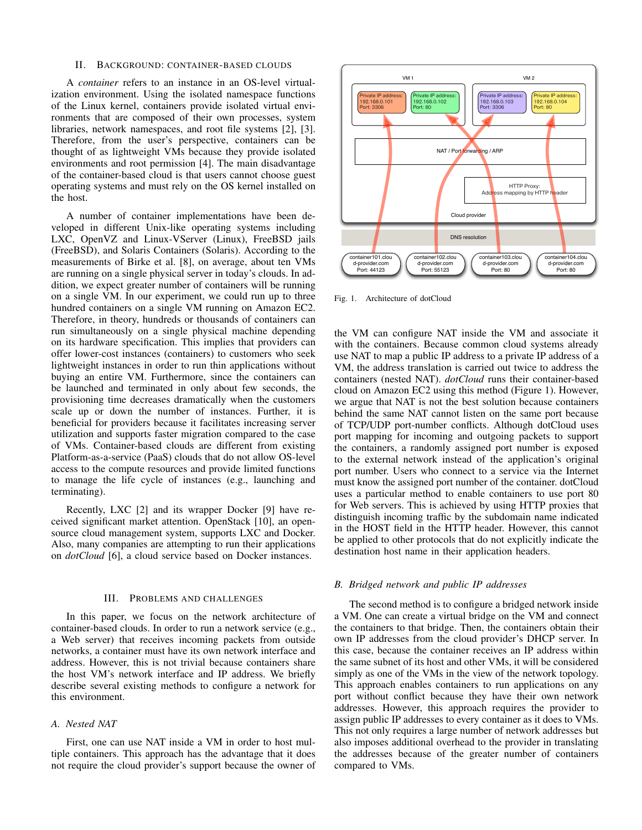### II. BACKGROUND: CONTAINER-BASED CLOUDS

A *container* refers to an instance in an OS-level virtualization environment. Using the isolated namespace functions of the Linux kernel, containers provide isolated virtual environments that are composed of their own processes, system libraries, network namespaces, and root file systems [2], [3]. Therefore, from the user's perspective, containers can be thought of as lightweight VMs because they provide isolated environments and root permission [4]. The main disadvantage of the container-based cloud is that users cannot choose guest operating systems and must rely on the OS kernel installed on the host.

A number of container implementations have been developed in different Unix-like operating systems including LXC, OpenVZ and Linux-VServer (Linux), FreeBSD jails (FreeBSD), and Solaris Containers (Solaris). According to the measurements of Birke et al. [8], on average, about ten VMs are running on a single physical server in today's clouds. In addition, we expect greater number of containers will be running on a single VM. In our experiment, we could run up to three hundred containers on a single VM running on Amazon EC2. Therefore, in theory, hundreds or thousands of containers can run simultaneously on a single physical machine depending on its hardware specification. This implies that providers can offer lower-cost instances (containers) to customers who seek lightweight instances in order to run thin applications without buying an entire VM. Furthermore, since the containers can be launched and terminated in only about few seconds, the provisioning time decreases dramatically when the customers scale up or down the number of instances. Further, it is beneficial for providers because it facilitates increasing server utilization and supports faster migration compared to the case of VMs. Container-based clouds are different from existing Platform-as-a-service (PaaS) clouds that do not allow OS-level access to the compute resources and provide limited functions to manage the life cycle of instances (e.g., launching and terminating).

Recently, LXC [2] and its wrapper Docker [9] have received significant market attention. OpenStack [10], an opensource cloud management system, supports LXC and Docker. Also, many companies are attempting to run their applications on *dotCloud* [6], a cloud service based on Docker instances.

## III. PROBLEMS AND CHALLENGES

In this paper, we focus on the network architecture of container-based clouds. In order to run a network service (e.g., a Web server) that receives incoming packets from outside networks, a container must have its own network interface and address. However, this is not trivial because containers share the host VM's network interface and IP address. We briefly describe several existing methods to configure a network for this environment.

# *A. Nested NAT*

First, one can use NAT inside a VM in order to host multiple containers. This approach has the advantage that it does not require the cloud provider's support because the owner of



Fig. 1. Architecture of dotCloud

the VM can configure NAT inside the VM and associate it with the containers. Because common cloud systems already use NAT to map a public IP address to a private IP address of a VM, the address translation is carried out twice to address the containers (nested NAT). *dotCloud* runs their container-based cloud on Amazon EC2 using this method (Figure 1). However, we argue that NAT is not the best solution because containers behind the same NAT cannot listen on the same port because of TCP/UDP port-number conflicts. Although dotCloud uses port mapping for incoming and outgoing packets to support the containers, a randomly assigned port number is exposed to the external network instead of the application's original port number. Users who connect to a service via the Internet must know the assigned port number of the container. dotCloud uses a particular method to enable containers to use port 80 for Web servers. This is achieved by using HTTP proxies that distinguish incoming traffic by the subdomain name indicated in the HOST field in the HTTP header. However, this cannot be applied to other protocols that do not explicitly indicate the destination host name in their application headers.

#### *B. Bridged network and public IP addresses*

The second method is to configure a bridged network inside a VM. One can create a virtual bridge on the VM and connect the containers to that bridge. Then, the containers obtain their own IP addresses from the cloud provider's DHCP server. In this case, because the container receives an IP address within the same subnet of its host and other VMs, it will be considered simply as one of the VMs in the view of the network topology. This approach enables containers to run applications on any port without conflict because they have their own network addresses. However, this approach requires the provider to assign public IP addresses to every container as it does to VMs. This not only requires a large number of network addresses but also imposes additional overhead to the provider in translating the addresses because of the greater number of containers compared to VMs.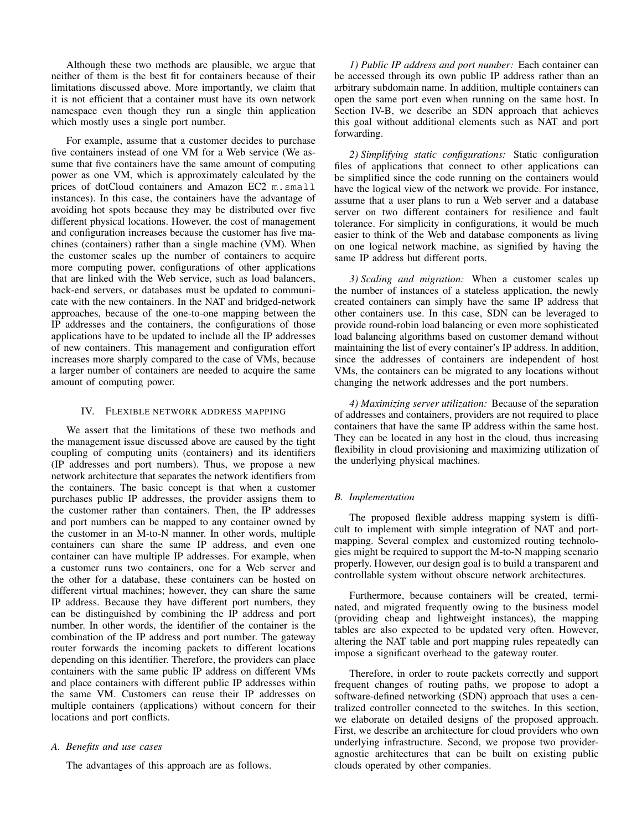Although these two methods are plausible, we argue that neither of them is the best fit for containers because of their limitations discussed above. More importantly, we claim that it is not efficient that a container must have its own network namespace even though they run a single thin application which mostly uses a single port number.

For example, assume that a customer decides to purchase five containers instead of one VM for a Web service (We assume that five containers have the same amount of computing power as one VM, which is approximately calculated by the prices of dotCloud containers and Amazon EC2 m.small instances). In this case, the containers have the advantage of avoiding hot spots because they may be distributed over five different physical locations. However, the cost of management and configuration increases because the customer has five machines (containers) rather than a single machine (VM). When the customer scales up the number of containers to acquire more computing power, configurations of other applications that are linked with the Web service, such as load balancers, back-end servers, or databases must be updated to communicate with the new containers. In the NAT and bridged-network approaches, because of the one-to-one mapping between the IP addresses and the containers, the configurations of those applications have to be updated to include all the IP addresses of new containers. This management and configuration effort increases more sharply compared to the case of VMs, because a larger number of containers are needed to acquire the same amount of computing power.

## IV. FLEXIBLE NETWORK ADDRESS MAPPING

We assert that the limitations of these two methods and the management issue discussed above are caused by the tight coupling of computing units (containers) and its identifiers (IP addresses and port numbers). Thus, we propose a new network architecture that separates the network identifiers from the containers. The basic concept is that when a customer purchases public IP addresses, the provider assigns them to the customer rather than containers. Then, the IP addresses and port numbers can be mapped to any container owned by the customer in an M-to-N manner. In other words, multiple containers can share the same IP address, and even one container can have multiple IP addresses. For example, when a customer runs two containers, one for a Web server and the other for a database, these containers can be hosted on different virtual machines; however, they can share the same IP address. Because they have different port numbers, they can be distinguished by combining the IP address and port number. In other words, the identifier of the container is the combination of the IP address and port number. The gateway router forwards the incoming packets to different locations depending on this identifier. Therefore, the providers can place containers with the same public IP address on different VMs and place containers with different public IP addresses within the same VM. Customers can reuse their IP addresses on multiple containers (applications) without concern for their locations and port conflicts.

## *A. Benefits and use cases*

The advantages of this approach are as follows.

*1) Public IP address and port number:* Each container can be accessed through its own public IP address rather than an arbitrary subdomain name. In addition, multiple containers can open the same port even when running on the same host. In Section IV-B, we describe an SDN approach that achieves this goal without additional elements such as NAT and port forwarding.

*2) Simplifying static configurations:* Static configuration files of applications that connect to other applications can be simplified since the code running on the containers would have the logical view of the network we provide. For instance, assume that a user plans to run a Web server and a database server on two different containers for resilience and fault tolerance. For simplicity in configurations, it would be much easier to think of the Web and database components as living on one logical network machine, as signified by having the same IP address but different ports.

*3) Scaling and migration:* When a customer scales up the number of instances of a stateless application, the newly created containers can simply have the same IP address that other containers use. In this case, SDN can be leveraged to provide round-robin load balancing or even more sophisticated load balancing algorithms based on customer demand without maintaining the list of every container's IP address. In addition, since the addresses of containers are independent of host VMs, the containers can be migrated to any locations without changing the network addresses and the port numbers.

*4) Maximizing server utilization:* Because of the separation of addresses and containers, providers are not required to place containers that have the same IP address within the same host. They can be located in any host in the cloud, thus increasing flexibility in cloud provisioning and maximizing utilization of the underlying physical machines.

### *B. Implementation*

The proposed flexible address mapping system is difficult to implement with simple integration of NAT and portmapping. Several complex and customized routing technologies might be required to support the M-to-N mapping scenario properly. However, our design goal is to build a transparent and controllable system without obscure network architectures.

Furthermore, because containers will be created, terminated, and migrated frequently owing to the business model (providing cheap and lightweight instances), the mapping tables are also expected to be updated very often. However, altering the NAT table and port mapping rules repeatedly can impose a significant overhead to the gateway router.

Therefore, in order to route packets correctly and support frequent changes of routing paths, we propose to adopt a software-defined networking (SDN) approach that uses a centralized controller connected to the switches. In this section, we elaborate on detailed designs of the proposed approach. First, we describe an architecture for cloud providers who own underlying infrastructure. Second, we propose two provideragnostic architectures that can be built on existing public clouds operated by other companies.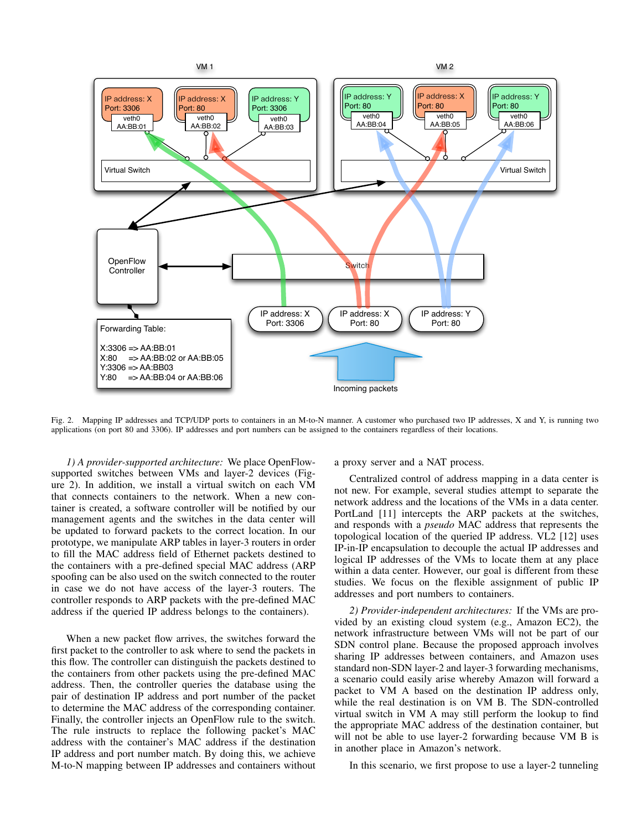

Fig. 2. Mapping IP addresses and TCP/UDP ports to containers in an M-to-N manner. A customer who purchased two IP addresses, X and Y, is running two applications (on port 80 and 3306). IP addresses and port numbers can be assigned to the containers regardless of their locations.

*1) A provider-supported architecture:* We place OpenFlowsupported switches between VMs and layer-2 devices (Figure 2). In addition, we install a virtual switch on each VM that connects containers to the network. When a new container is created, a software controller will be notified by our management agents and the switches in the data center will be updated to forward packets to the correct location. In our prototype, we manipulate ARP tables in layer-3 routers in order to fill the MAC address field of Ethernet packets destined to the containers with a pre-defined special MAC address (ARP spoofing can be also used on the switch connected to the router in case we do not have access of the layer-3 routers. The controller responds to ARP packets with the pre-defined MAC address if the queried IP address belongs to the containers).

When a new packet flow arrives, the switches forward the first packet to the controller to ask where to send the packets in this flow. The controller can distinguish the packets destined to the containers from other packets using the pre-defined MAC address. Then, the controller queries the database using the pair of destination IP address and port number of the packet to determine the MAC address of the corresponding container. Finally, the controller injects an OpenFlow rule to the switch. The rule instructs to replace the following packet's MAC address with the container's MAC address if the destination IP address and port number match. By doing this, we achieve M-to-N mapping between IP addresses and containers without a proxy server and a NAT process.

Centralized control of address mapping in a data center is not new. For example, several studies attempt to separate the network address and the locations of the VMs in a data center. PortLand [11] intercepts the ARP packets at the switches, and responds with a *pseudo* MAC address that represents the topological location of the queried IP address. VL2 [12] uses IP-in-IP encapsulation to decouple the actual IP addresses and logical IP addresses of the VMs to locate them at any place within a data center. However, our goal is different from these studies. We focus on the flexible assignment of public IP addresses and port numbers to containers.

*2) Provider-independent architectures:* If the VMs are provided by an existing cloud system (e.g., Amazon EC2), the network infrastructure between VMs will not be part of our SDN control plane. Because the proposed approach involves sharing IP addresses between containers, and Amazon uses standard non-SDN layer-2 and layer-3 forwarding mechanisms, a scenario could easily arise whereby Amazon will forward a packet to VM A based on the destination IP address only, while the real destination is on VM B. The SDN-controlled virtual switch in VM A may still perform the lookup to find the appropriate MAC address of the destination container, but will not be able to use layer-2 forwarding because VM B is in another place in Amazon's network.

In this scenario, we first propose to use a layer-2 tunneling